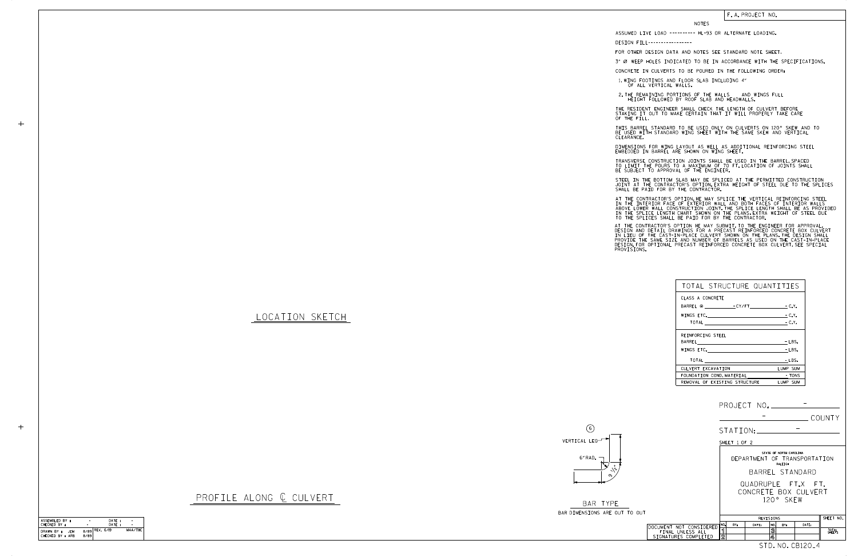## LOCATION SKETCH

 $+$ 

 $+$ 

BAR DIMENSIONS ARE OUT TO OUT BAR TYPE



| TOTAL STRUCTURE QUANTITIES            |          |
|---------------------------------------|----------|
| CLASS A CONCRETE                      |          |
|                                       |          |
| WINGS ETC. $\qquad \qquad -C. Y.$     |          |
| TOTAL - C.Y.                          |          |
| REINFORCING STEEL                     |          |
|                                       | $-$ LBS. |
| WINGS ETC. <u>___________________</u> | $-LBS.$  |
|                                       | $-LBS.$  |
| CULVERT EXCAVATION                    | LUMP SUM |
| FOUNDATION COND. MATERIAL TONS        |          |
| REMOVAL OF EXISTING STRUCTURE         | LUMP SUM |

## NOTES

DESIGN FILL-----------------

FOR OTHER DESIGN DATA AND NOTES SEE STANDARD NOTE SHEET.

3" Ø WEEP HOLES INDICATED TO BE IN ACCORDANCE WITH THE SPECIFICATIONS.

STEEL IN THE BOTTOM SLAB MAY BE SPLICED AT THE PERMITTED CONSTRUCTION JOINT AT THE CONTRACTOR'S OPTION.EXTRA WEIGHT OF STEEL DUE TO THE SPLICES<br>SHALL BE PAID FOR BY THE CONTRACTOR.

CONCRETE IN CULVERTS TO BE POURED IN THE FOLLOWING ORDER:

1.WING FOOTINGS AND FLOOR SLAB INCLUDING 4"<br>OF ALL VERTICAL WALLS.

2.THE REMAINING PORTIONS OF THE WALLS AND WINGS FULL<br>HEIGHT FOLLOWED BY ROOF SLAB AND HEADWALLS.

THE RESIDENT ENGINEER SHALL CHECK THE LENGTH OF CULVERT BEFORE<br>STAKING IT OUT TO MAKE CERTAIN THAT IT WILL PROPERLY TAKE CARE<br>OF THE FILL.

IN THE INTERIOR FACE OF EXTERIOR WALL AND BOTH FACES OF INTERIOR WALLS<br>ABOVE LOWER WALL CONSTRUCTION JOINT.THE SPLICE LENGTH SHALL BE AS PROVIDED<br>IN THE SPLICE LENGTH CHART SHOWN ON THE PLANS.EXTRA WEIGHT OF STEEL DUE<br>TO T AT THE CONTRACTOR'S OPTION, HE MAY SPLICE THE VERTICAL REINFORCING STEEL

AT THE CONTRACTOR'S OPTION HE MAY SUBMIT, TO THE ENGINEER FOR APPROVAL,<br>DESIGN AND DETAIL DRAWINGS FOR A PRECAST REINFORCED CONCRETE BOX CULVERT<br>IN LIEU OF THE CAST-IN-PLACE CULVERT SHOWN ON THE PLANS.THE DESIGN SHALL<br>PROV

BE USED WITH STANDARD WING SHEET WITH THE SAME SKEW AND VERTICAL CLEARANCE. THIS BARREL STANDARD TO BE USED ONLY ON CULVERTS ON 120° SKEW AND TO

DIMENSIONS FOR WING LAYOUT AS WELL AS ADDITIONAL REINFORCING STEEL<br>EMBEDDED IN BARREL ARE SHOWN ON WING SHEET.

TRANSVERSE CONSTRUCTION JOINTS SHALL BE USED IN THE BARREL,SPACED<br>TO LIMIT THE POURS TO A MAXIMUM OF 70 FT.LOCATION OF JOINTS SHALL<br>BE SUBJECT TO APPROVAL OF THE ENGINEER.

## F. A. PROJECT NO.

ASSUMED LIVE LOAD ---------- HL-93 OR ALTERNATE LOADING.

STD. NO. CB120\_4

| ASSEMBLED BY :                         | -    | DATE:              |         |
|----------------------------------------|------|--------------------|---------|
| CHECKED BY :                           |      | DATE:              |         |
| DRAWN BY :<br>.JFM<br>CHECKED BY : ARB | 8/89 | $8/89$ REV. $6/19$ | MAA/THC |

## PROFILE ALONG ¢ CULVERT

|              |                                          |                                                                    |     | PROJECT NO. ________________ |        |          |                             |                 |
|--------------|------------------------------------------|--------------------------------------------------------------------|-----|------------------------------|--------|----------|-----------------------------|-----------------|
|              |                                          |                                                                    |     |                              |        |          |                             | COUNTY          |
|              |                                          |                                                                    |     | STATION:                     |        |          |                             |                 |
| SHEET 1 OF 2 |                                          |                                                                    |     |                              |        |          |                             |                 |
|              |                                          | STATE OF NORTH CAROLINA<br>DEPARTMENT OF TRANSPORTATION<br>RALEIGH |     |                              |        |          |                             |                 |
|              |                                          | BARREL STANDARD                                                    |     |                              |        |          |                             |                 |
|              |                                          | QUADRUPLE FT.X FT.<br>CONCRETE BOX CULVERT<br>120° SKFW            |     |                              |        |          |                             |                 |
| OUT          |                                          |                                                                    |     |                              |        |          |                             |                 |
|              |                                          | REVISIONS                                                          |     |                              |        |          | SHEET NO.                   |                 |
|              | DOCUMENT NOT CONSIDERED                  | NO.                                                                | BY: | DATE:                        | NO.    | RY:      | DATE:                       |                 |
|              | FINAL UNLESS ALL<br>SIGNATURES COMPLETED | ิร<br>$\overline{2}$                                               |     |                              | 3<br>4 |          |                             | TOTAL<br>SHEETS |
|              |                                          |                                                                    |     | $- - -$                      |        | $\cdots$ | $\sim$ $\sim$ $\sim$ $\sim$ | $\bullet$       |